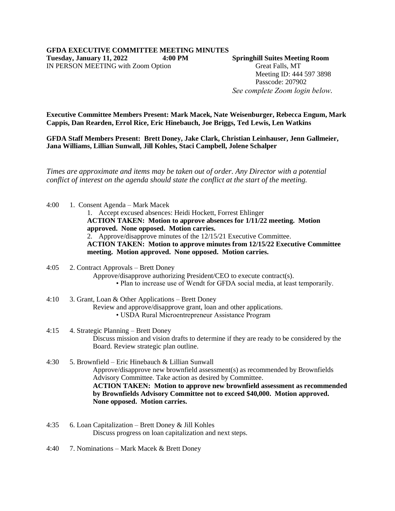## **GFDA EXECUTIVE COMMITTEE MEETING MINUTES**

IN PERSON MEETING with Zoom Option Great Falls, MT

**Tuesday, January 11, 2022 4:00 PM Springhill Suites Meeting Room** Meeting ID: 444 597 3898 Passcode: 207902 *See complete Zoom login below.*

**Executive Committee Members Present: Mark Macek, Nate Weisenburger, Rebecca Engum, Mark Cappis, Dan Rearden, Errol Rice, Eric Hinebauch, Joe Briggs, Ted Lewis, Len Watkins**

**GFDA Staff Members Present: Brett Doney, Jake Clark, Christian Leinhauser, Jenn Gallmeier, Jana Williams, Lillian Sunwall, Jill Kohles, Staci Campbell, Jolene Schalper**

*Times are approximate and items may be taken out of order. Any Director with a potential conflict of interest on the agenda should state the conflict at the start of the meeting.* 

4:00 1. Consent Agenda – Mark Macek

1. Accept excused absences: Heidi Hockett, Forrest Ehlinger **ACTION TAKEN: Motion to approve absences for 1/11/22 meeting. Motion approved. None opposed. Motion carries.** 2. Approve/disapprove minutes of the 12/15/21 Executive Committee. **ACTION TAKEN: Motion to approve minutes from 12/15/22 Executive Committee meeting. Motion approved. None opposed. Motion carries.**

- 4:05 2. Contract Approvals Brett Doney Approve/disapprove authorizing President/CEO to execute contract(s). • Plan to increase use of Wendt for GFDA social media, at least temporarily.
- 4:10 3. Grant, Loan & Other Applications Brett Doney Review and approve/disapprove grant, loan and other applications. • USDA Rural Microentrepreneur Assistance Program
- 4:15 4. Strategic Planning Brett Doney Discuss mission and vision drafts to determine if they are ready to be considered by the Board. Review strategic plan outline.
- 4:30 5. Brownfield Eric Hinebauch & Lillian Sunwall Approve/disapprove new brownfield assessment(s) as recommended by Brownfields Advisory Committee. Take action as desired by Committee. **ACTION TAKEN: Motion to approve new brownfield assessment as recommended by Brownfields Advisory Committee not to exceed \$40,000. Motion approved. None opposed. Motion carries.**
- 4:35 6. Loan Capitalization Brett Doney & Jill Kohles Discuss progress on loan capitalization and next steps.
- 4:40 7. Nominations Mark Macek & Brett Doney